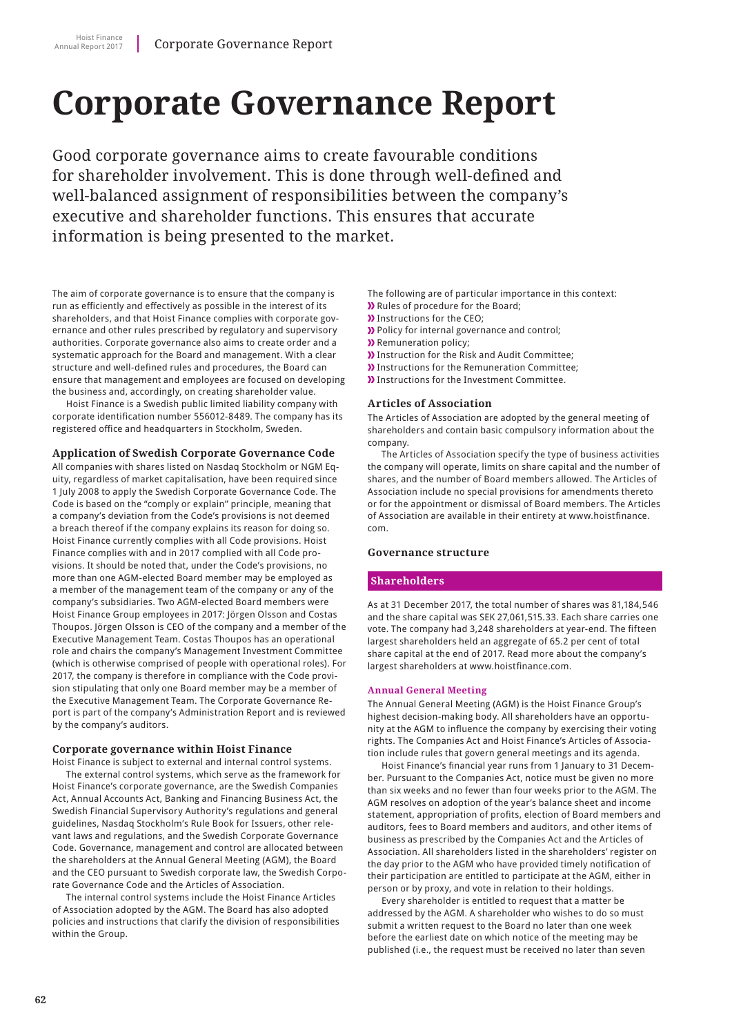# **Corporate Governance Report**

Good corporate governance aims to create favourable conditions for shareholder involvement. This is done through well-defined and well-balanced assignment of responsibilities between the company's executive and shareholder functions. This ensures that accurate information is being presented to the market.

The aim of corporate governance is to ensure that the company is run as efficiently and effectively as possible in the interest of its shareholders, and that Hoist Finance complies with corporate governance and other rules prescribed by regulatory and supervisory authorities. Corporate governance also aims to create order and a systematic approach for the Board and management. With a clear structure and well-defined rules and procedures, the Board can ensure that management and employees are focused on developing the business and, accordingly, on creating shareholder value.

Hoist Finance is a Swedish public limited liability company with corporate identification number 556012-8489. The company has its registered office and headquarters in Stockholm, Sweden.

#### **Application of Swedish Corporate Governance Code**

All companies with shares listed on Nasdaq Stockholm or NGM Equity, regardless of market capitalisation, have been required since 1 July 2008 to apply the Swedish Corporate Governance Code. The Code is based on the "comply or explain" principle, meaning that a company's deviation from the Code's provisions is not deemed a breach thereof if the company explains its reason for doing so. Hoist Finance currently complies with all Code provisions. Hoist Finance complies with and in 2017 complied with all Code provisions. It should be noted that, under the Code's provisions, no more than one AGM-elected Board member may be employed as a member of the management team of the company or any of the company's subsidiaries. Two AGM-elected Board members were Hoist Finance Group employees in 2017: Jörgen Olsson and Costas Thoupos. Jörgen Olsson is CEO of the company and a member of the Executive Management Team. Costas Thoupos has an operational role and chairs the company's Management Investment Committee (which is otherwise comprised of people with operational roles). For 2017, the company is therefore in compliance with the Code provision stipulating that only one Board member may be a member of the Executive Management Team. The Corporate Governance Report is part of the company's Administration Report and is reviewed by the company's auditors.

#### **Corporate governance within Hoist Finance**

Hoist Finance is subject to external and internal control systems. The external control systems, which serve as the framework for Hoist Finance's corporate governance, are the Swedish Companies Act, Annual Accounts Act, Banking and Financing Business Act, the Swedish Financial Supervisory Authority's regulations and general guidelines, Nasdaq Stockholm's Rule Book for Issuers, other relevant laws and regulations, and the Swedish Corporate Governance Code. Governance, management and control are allocated between the shareholders at the Annual General Meeting (AGM), the Board and the CEO pursuant to Swedish corporate law, the Swedish Corporate Governance Code and the Articles of Association.

The internal control systems include the Hoist Finance Articles of Association adopted by the AGM. The Board has also adopted policies and instructions that clarify the division of responsibilities within the Group.

The following are of particular importance in this context:

- **>>** Rules of procedure for the Board;
- **)** Instructions for the CEO;
- **>>** Policy for internal governance and control;
- **>>** Remuneration policy;
- Instruction for the Risk and Audit Committee;
- **)** Instructions for the Remuneration Committee:
- **)** Instructions for the Investment Committee.

#### **Articles of Association**

The Articles of Association are adopted by the general meeting of shareholders and contain basic compulsory information about the company.

The Articles of Association specify the type of business activities the company will operate, limits on share capital and the number of shares, and the number of Board members allowed. The Articles of Association include no special provisions for amendments thereto or for the appointment or dismissal of Board members. The Articles of Association are available in their entirety at www.hoistfinance. com.

#### **Governance structure**

#### **Shareholders**

As at 31 December 2017, the total number of shares was 81,184,546 and the share capital was SEK 27,061,515.33. Each share carries one vote. The company had 3,248 shareholders at year-end. The fifteen largest shareholders held an aggregate of 65.2 per cent of total share capital at the end of 2017. Read more about the company's largest shareholders at www.hoistfinance.com.

#### **Annual General Meeting**

The Annual General Meeting (AGM) is the Hoist Finance Group's highest decision-making body. All shareholders have an opportunity at the AGM to influence the company by exercising their voting rights. The Companies Act and Hoist Finance's Articles of Association include rules that govern general meetings and its agenda.

Hoist Finance's financial year runs from 1 January to 31 December. Pursuant to the Companies Act, notice must be given no more than six weeks and no fewer than four weeks prior to the AGM. The AGM resolves on adoption of the year's balance sheet and income statement, appropriation of profits, election of Board members and auditors, fees to Board members and auditors, and other items of business as prescribed by the Companies Act and the Articles of Association. All shareholders listed in the shareholders' register on the day prior to the AGM who have provided timely notification of their participation are entitled to participate at the AGM, either in person or by proxy, and vote in relation to their holdings.

Every shareholder is entitled to request that a matter be addressed by the AGM. A shareholder who wishes to do so must submit a written request to the Board no later than one week before the earliest date on which notice of the meeting may be published (i.e., the request must be received no later than seven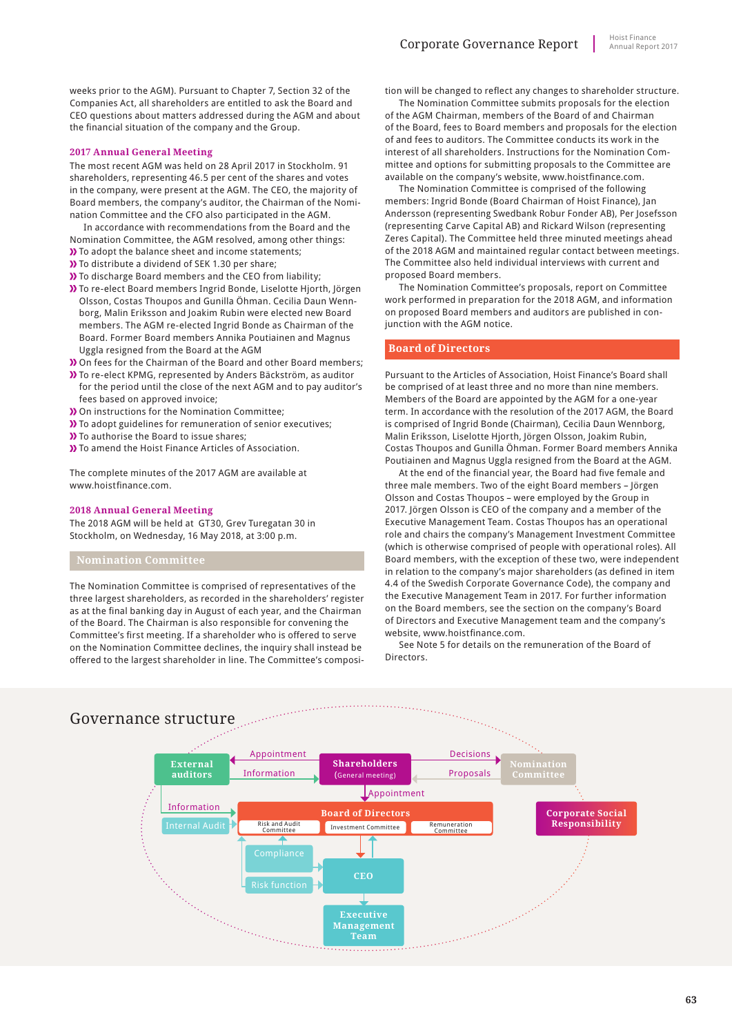weeks prior to the AGM). Pursuant to Chapter 7, Section 32 of the Companies Act, all shareholders are entitled to ask the Board and CEO questions about matters addressed during the AGM and about the financial situation of the company and the Group.

#### **2017 Annual General Meeting**

The most recent AGM was held on 28 April 2017 in Stockholm. 91 shareholders, representing 46.5 per cent of the shares and votes in the company, were present at the AGM. The CEO, the majority of Board members, the company's auditor, the Chairman of the Nomination Committee and the CFO also participated in the AGM.

- In accordance with recommendations from the Board and the Nomination Committee, the AGM resolved, among other things: **)** To adopt the balance sheet and income statements;
- **>>** To distribute a dividend of SEK 1.30 per share;
- **)** To discharge Board members and the CEO from liability;
- To re-elect Board members Ingrid Bonde, Liselotte Hjorth, Jörgen Olsson, Costas Thoupos and Gunilla Öhman. Cecilia Daun Wennborg, Malin Eriksson and Joakim Rubin were elected new Board members. The AGM re-elected Ingrid Bonde as Chairman of the Board. Former Board members Annika Poutiainen and Magnus Uggla resigned from the Board at the AGM
- On fees for the Chairman of the Board and other Board members;
- To re-elect KPMG, represented by Anders Bäckström, as auditor for the period until the close of the next AGM and to pay auditor's fees based on approved invoice;
- On instructions for the Nomination Committee;
- To adopt guidelines for remuneration of senior executives;
- **D** To authorise the Board to issue shares;
- **X** To amend the Hoist Finance Articles of Association.

The complete minutes of the 2017 AGM are available at www.hoistfinance.com

#### **2018 Annual General Meeting**

The 2018 AGM will be held at GT30, Grev Turegatan 30 in Stockholm, on Wednesday, 16 May 2018, at 3:00 p.m.

The Nomination Committee is comprised of representatives of the three largest shareholders, as recorded in the shareholders' register as at the final banking day in August of each year, and the Chairman of the Board. The Chairman is also responsible for convening the Committee's first meeting. If a shareholder who is offered to serve on the Nomination Committee declines, the inquiry shall instead be offered to the largest shareholder in line. The Committee's composition will be changed to reflect any changes to shareholder structure.

The Nomination Committee submits proposals for the election of the AGM Chairman, members of the Board of and Chairman of the Board, fees to Board members and proposals for the election of and fees to auditors. The Committee conducts its work in the interest of all shareholders. Instructions for the Nomination Committee and options for submitting proposals to the Committee are available on the company's website, www.hoistfinance.com.

The Nomination Committee is comprised of the following members: Ingrid Bonde (Board Chairman of Hoist Finance), Jan Andersson (representing Swedbank Robur Fonder AB), Per Josefsson (representing Carve Capital AB) and Rickard Wilson (representing Zeres Capital). The Committee held three minuted meetings ahead of the 2018 AGM and maintained regular contact between meetings. The Committee also held individual interviews with current and proposed Board members.

The Nomination Committee's proposals, report on Committee work performed in preparation for the 2018 AGM, and information on proposed Board members and auditors are published in conjunction with the AGM notice.

#### **Board of Directors**

Pursuant to the Articles of Association, Hoist Finance's Board shall be comprised of at least three and no more than nine members. Members of the Board are appointed by the AGM for a one-year term. In accordance with the resolution of the 2017 AGM, the Board is comprised of Ingrid Bonde (Chairman), Cecilia Daun Wennborg, Malin Eriksson, Liselotte Hjorth, Jörgen Olsson, Joakim Rubin, Costas Thoupos and Gunilla Öhman. Former Board members Annika Poutiainen and Magnus Uggla resigned from the Board at the AGM.

At the end of the financial year, the Board had five female and three male members. Two of the eight Board members – Jörgen Olsson and Costas Thoupos – were employed by the Group in 2017. Jörgen Olsson is CEO of the company and a member of the Executive Management Team. Costas Thoupos has an operational role and chairs the company's Management Investment Committee (which is otherwise comprised of people with operational roles). All Board members, with the exception of these two, were independent in relation to the company's major shareholders (as defined in item 4.4 of the Swedish Corporate Governance Code), the company and the Executive Management Team in 2017. For further information on the Board members, see the section on the company's Board of Directors and Executive Management team and the company's website, www.hoistfinance.com.

See Note 5 for details on the remuneration of the Board of Directors.

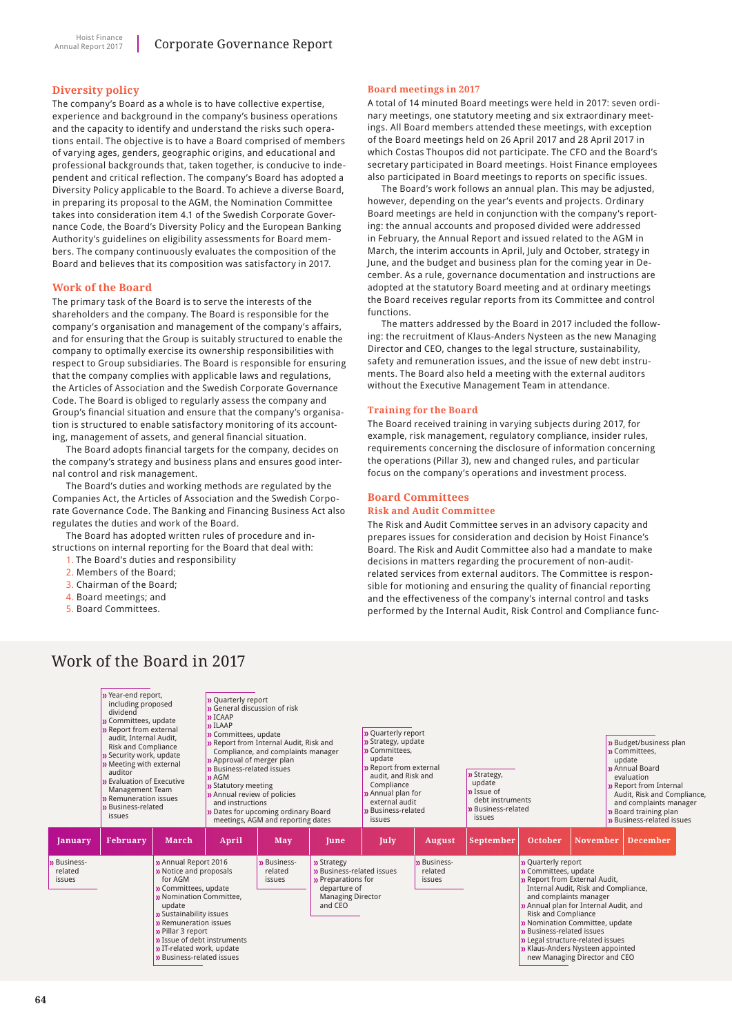#### **Diversity policy**

The company's Board as a whole is to have collective expertise, experience and background in the company's business operations and the capacity to identify and understand the risks such operations entail. The objective is to have a Board comprised of members of varying ages, genders, geographic origins, and educational and professional backgrounds that, taken together, is conducive to independent and critical reflection. The company's Board has adopted a Diversity Policy applicable to the Board. To achieve a diverse Board, in preparing its proposal to the AGM, the Nomination Committee takes into consideration item 4.1 of the Swedish Corporate Governance Code, the Board's Diversity Policy and the European Banking Authority's guidelines on eligibility assessments for Board members. The company continuously evaluates the composition of the Board and believes that its composition was satisfactory in 2017.

#### **Work of the Board**

The primary task of the Board is to serve the interests of the shareholders and the company. The Board is responsible for the company's organisation and management of the company's affairs, and for ensuring that the Group is suitably structured to enable the company to optimally exercise its ownership responsibilities with respect to Group subsidiaries. The Board is responsible for ensuring that the company complies with applicable laws and regulations, the Articles of Association and the Swedish Corporate Governance Code. The Board is obliged to regularly assess the company and Group's financial situation and ensure that the company's organisation is structured to enable satisfactory monitoring of its accounting, management of assets, and general financial situation.

The Board adopts financial targets for the company, decides on the company's strategy and business plans and ensures good internal control and risk management.

The Board's duties and working methods are regulated by the Companies Act, the Articles of Association and the Swedish Corporate Governance Code. The Banking and Financing Business Act also regulates the duties and work of the Board.

The Board has adopted written rules of procedure and instructions on internal reporting for the Board that deal with:

- 1. The Board's duties and responsibility
- 2. Members of the Board;
- 3. Chairman of the Board;
- 4. Board meetings; and
- 5. Board Committees.

#### **Board meetings in 2017**

A total of 14 minuted Board meetings were held in 2017: seven ordinary meetings, one statutory meeting and six extraordinary meetings. All Board members attended these meetings, with exception of the Board meetings held on 26 April 2017 and 28 April 2017 in which Costas Thoupos did not participate. The CFO and the Board's secretary participated in Board meetings. Hoist Finance employees also participated in Board meetings to reports on specific issues.

The Board's work follows an annual plan. This may be adjusted, however, depending on the year's events and projects. Ordinary Board meetings are held in conjunction with the company's reporting: the annual accounts and proposed divided were addressed in February, the Annual Report and issued related to the AGM in March, the interim accounts in April, July and October, strategy in June, and the budget and business plan for the coming year in December. As a rule, governance documentation and instructions are adopted at the statutory Board meeting and at ordinary meetings the Board receives regular reports from its Committee and control functions.

The matters addressed by the Board in 2017 included the following: the recruitment of Klaus-Anders Nysteen as the new Managing Director and CEO, changes to the legal structure, sustainability, safety and remuneration issues, and the issue of new debt instruments. The Board also held a meeting with the external auditors without the Executive Management Team in attendance.

#### **Training for the Board**

The Board received training in varying subjects during 2017, for example, risk management, regulatory compliance, insider rules, requirements concerning the disclosure of information concerning the operations (Pillar 3), new and changed rules, and particular focus on the company's operations and investment process.

# **Board Committees**

#### **Risk and Audit Committee**

The Risk and Audit Committee serves in an advisory capacity and prepares issues for consideration and decision by Hoist Finance's Board. The Risk and Audit Committee also had a mandate to make decisions in matters regarding the procurement of non-auditrelated services from external auditors. The Committee is responsible for motioning and ensuring the quality of financial reporting and the effectiveness of the company's internal control and tasks performed by the Internal Audit, Risk Control and Compliance func-



# Work of the Board in 2017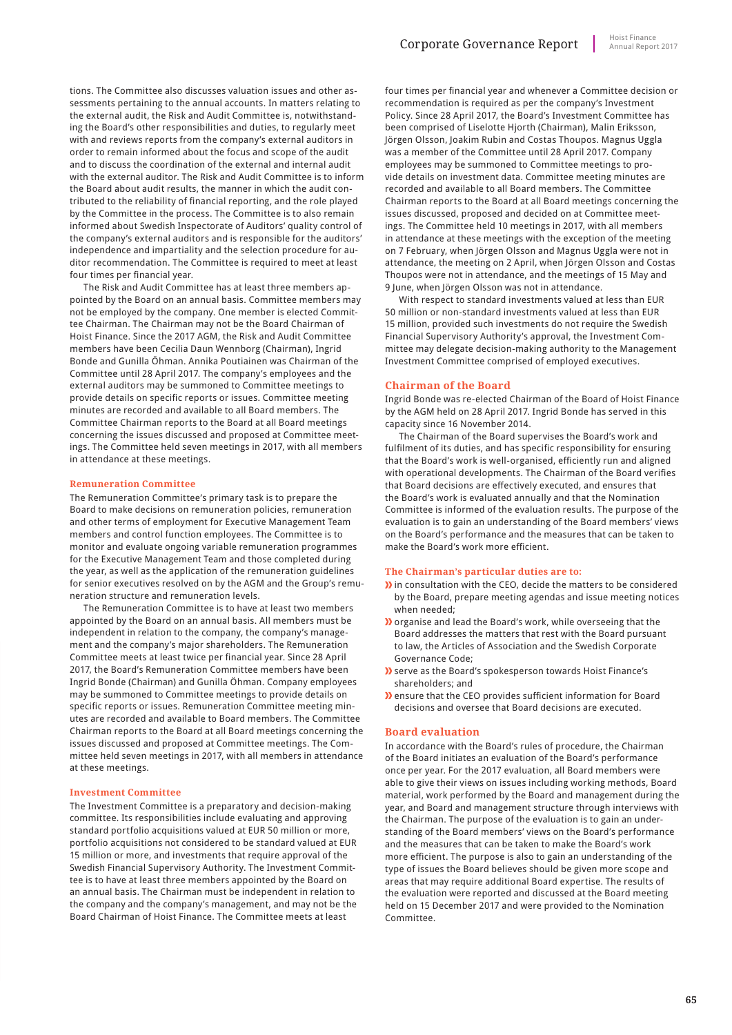tions. The Committee also discusses valuation issues and other assessments pertaining to the annual accounts. In matters relating to the external audit, the Risk and Audit Committee is, notwithstanding the Board's other responsibilities and duties, to regularly meet with and reviews reports from the company's external auditors in order to remain informed about the focus and scope of the audit and to discuss the coordination of the external and internal audit with the external auditor. The Risk and Audit Committee is to inform the Board about audit results, the manner in which the audit contributed to the reliability of financial reporting, and the role played by the Committee in the process. The Committee is to also remain informed about Swedish Inspectorate of Auditors' quality control of the company's external auditors and is responsible for the auditors' independence and impartiality and the selection procedure for auditor recommendation. The Committee is required to meet at least four times per financial year.

The Risk and Audit Committee has at least three members appointed by the Board on an annual basis. Committee members may not be employed by the company. One member is elected Committee Chairman. The Chairman may not be the Board Chairman of Hoist Finance. Since the 2017 AGM, the Risk and Audit Committee members have been Cecilia Daun Wennborg (Chairman), Ingrid Bonde and Gunilla Öhman. Annika Poutiainen was Chairman of the Committee until 28 April 2017. The company's employees and the external auditors may be summoned to Committee meetings to provide details on specific reports or issues. Committee meeting minutes are recorded and available to all Board members. The Committee Chairman reports to the Board at all Board meetings concerning the issues discussed and proposed at Committee meetings. The Committee held seven meetings in 2017, with all members in attendance at these meetings.

#### **Remuneration Committee**

The Remuneration Committee's primary task is to prepare the Board to make decisions on remuneration policies, remuneration and other terms of employment for Executive Management Team members and control function employees. The Committee is to monitor and evaluate ongoing variable remuneration programmes for the Executive Management Team and those completed during the year, as well as the application of the remuneration guidelines for senior executives resolved on by the AGM and the Group's remuneration structure and remuneration levels.

The Remuneration Committee is to have at least two members appointed by the Board on an annual basis. All members must be independent in relation to the company, the company's management and the company's major shareholders. The Remuneration Committee meets at least twice per financial year. Since 28 April 2017, the Board's Remuneration Committee members have been Ingrid Bonde (Chairman) and Gunilla Öhman. Company employees may be summoned to Committee meetings to provide details on specific reports or issues. Remuneration Committee meeting minutes are recorded and available to Board members. The Committee Chairman reports to the Board at all Board meetings concerning the issues discussed and proposed at Committee meetings. The Committee held seven meetings in 2017, with all members in attendance at these meetings.

#### **Investment Committee**

The Investment Committee is a preparatory and decision-making committee. Its responsibilities include evaluating and approving standard portfolio acquisitions valued at EUR 50 million or more, portfolio acquisitions not considered to be standard valued at EUR 15 million or more, and investments that require approval of the Swedish Financial Supervisory Authority. The Investment Committee is to have at least three members appointed by the Board on an annual basis. The Chairman must be independent in relation to the company and the company's management, and may not be the Board Chairman of Hoist Finance. The Committee meets at least

four times per financial year and whenever a Committee decision or recommendation is required as per the company's Investment Policy. Since 28 April 2017, the Board's Investment Committee has been comprised of Liselotte Hjorth (Chairman), Malin Eriksson, Jörgen Olsson, Joakim Rubin and Costas Thoupos. Magnus Uggla was a member of the Committee until 28 April 2017. Company employees may be summoned to Committee meetings to provide details on investment data. Committee meeting minutes are recorded and available to all Board members. The Committee Chairman reports to the Board at all Board meetings concerning the issues discussed, proposed and decided on at Committee meetings. The Committee held 10 meetings in 2017, with all members in attendance at these meetings with the exception of the meeting on 7 February, when Jörgen Olsson and Magnus Uggla were not in attendance, the meeting on 2 April, when Jörgen Olsson and Costas Thoupos were not in attendance, and the meetings of 15 May and 9 June, when Jörgen Olsson was not in attendance.

With respect to standard investments valued at less than EUR 50 million or non-standard investments valued at less than EUR 15 million, provided such investments do not require the Swedish Financial Supervisory Authority's approval, the Investment Committee may delegate decision-making authority to the Management Investment Committee comprised of employed executives.

#### **Chairman of the Board**

Ingrid Bonde was re-elected Chairman of the Board of Hoist Finance by the AGM held on 28 April 2017. Ingrid Bonde has served in this capacity since 16 November 2014.

The Chairman of the Board supervises the Board's work and fulfilment of its duties, and has specific responsibility for ensuring that the Board's work is well-organised, efficiently run and aligned with operational developments. The Chairman of the Board verifies that Board decisions are effectively executed, and ensures that the Board's work is evaluated annually and that the Nomination Committee is informed of the evaluation results. The purpose of the evaluation is to gain an understanding of the Board members' views on the Board's performance and the measures that can be taken to make the Board's work more efficient.

#### **The Chairman's particular duties are to:**

- I) in consultation with the CEO, decide the matters to be considered by the Board, prepare meeting agendas and issue meeting notices when needed;
- **)** organise and lead the Board's work, while overseeing that the Board addresses the matters that rest with the Board pursuant to law, the Articles of Association and the Swedish Corporate Governance Code;
- serve as the Board's spokesperson towards Hoist Finance's shareholders; and
- ensure that the CEO provides sufficient information for Board decisions and oversee that Board decisions are executed.

#### **Board evaluation**

In accordance with the Board's rules of procedure, the Chairman of the Board initiates an evaluation of the Board's performance once per year. For the 2017 evaluation, all Board members were able to give their views on issues including working methods, Board material, work performed by the Board and management during the year, and Board and management structure through interviews with the Chairman. The purpose of the evaluation is to gain an understanding of the Board members' views on the Board's performance and the measures that can be taken to make the Board's work more efficient. The purpose is also to gain an understanding of the type of issues the Board believes should be given more scope and areas that may require additional Board expertise. The results of the evaluation were reported and discussed at the Board meeting held on 15 December 2017 and were provided to the Nomination Committee.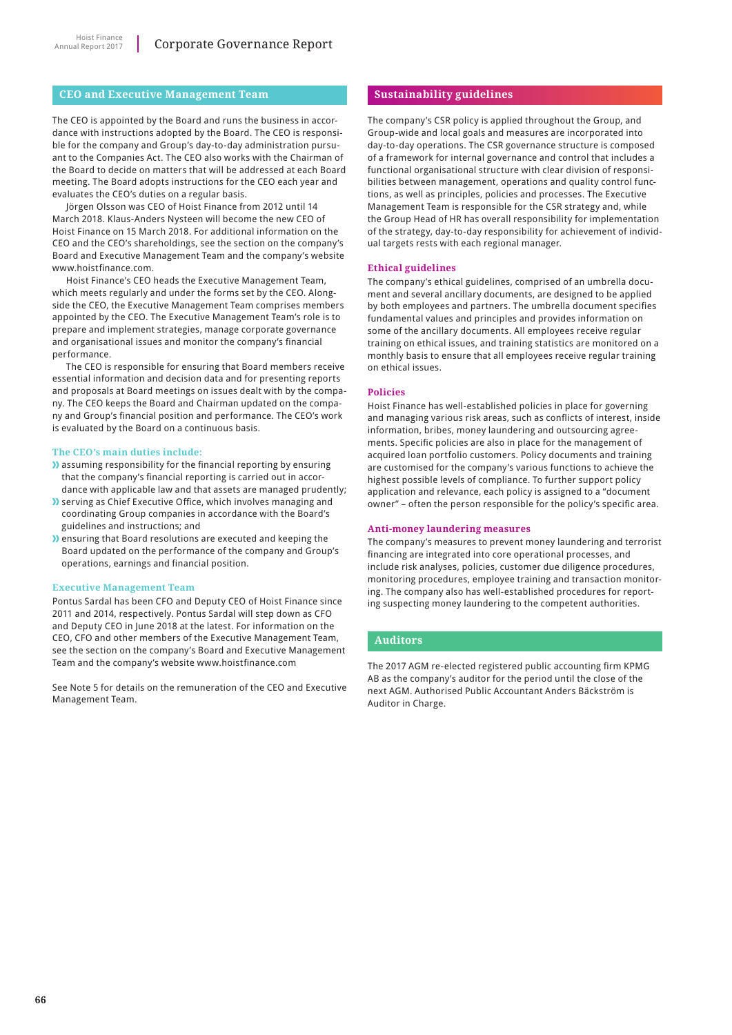#### **CEO and Executive Management Team**

The CEO is appointed by the Board and runs the business in accordance with instructions adopted by the Board. The CEO is responsible for the company and Group's day-to-day administration pursuant to the Companies Act. The CEO also works with the Chairman of the Board to decide on matters that will be addressed at each Board meeting. The Board adopts instructions for the CEO each year and evaluates the CEO's duties on a regular basis.

Jörgen Olsson was CEO of Hoist Finance from 2012 until 14 March 2018. Klaus-Anders Nysteen will become the new CEO of Hoist Finance on 15 March 2018. For additional information on the CEO and the CEO's shareholdings, see the section on the company's Board and Executive Management Team and the company's website www.hoistfinance.com.

Hoist Finance's CEO heads the Executive Management Team, which meets regularly and under the forms set by the CEO. Alongside the CEO, the Executive Management Team comprises members appointed by the CEO. The Executive Management Team's role is to prepare and implement strategies, manage corporate governance and organisational issues and monitor the company's financial performance.

The CEO is responsible for ensuring that Board members receive essential information and decision data and for presenting reports and proposals at Board meetings on issues dealt with by the company. The CEO keeps the Board and Chairman updated on the company and Group's financial position and performance. The CEO's work is evaluated by the Board on a continuous basis.

#### **The CEO's main duties include:**

- **)** assuming responsibility for the financial reporting by ensuring that the company's financial reporting is carried out in accordance with applicable law and that assets are managed prudently;
- **>>** serving as Chief Executive Office, which involves managing and coordinating Group companies in accordance with the Board's guidelines and instructions; and
- **I**) ensuring that Board resolutions are executed and keeping the Board updated on the performance of the company and Group's operations, earnings and financial position.

#### **Executive Management Team**

Pontus Sardal has been CFO and Deputy CEO of Hoist Finance since 2011 and 2014, respectively. Pontus Sardal will step down as CFO and Deputy CEO in June 2018 at the latest. For information on the CEO, CFO and other members of the Executive Management Team, see the section on the company's Board and Executive Management Team and the company's website www.hoistfinance.com

See Note 5 for details on the remuneration of the CEO and Executive Management Team.

#### **Sustainability guidelines**

The company's CSR policy is applied throughout the Group, and Group-wide and local goals and measures are incorporated into day-to-day operations. The CSR governance structure is composed of a framework for internal governance and control that includes a functional organisational structure with clear division of responsibilities between management, operations and quality control functions, as well as principles, policies and processes. The Executive Management Team is responsible for the CSR strategy and, while the Group Head of HR has overall responsibility for implementation of the strategy, day-to-day responsibility for achievement of individual targets rests with each regional manager.

#### **Ethical guidelines**

The company's ethical guidelines, comprised of an umbrella document and several ancillary documents, are designed to be applied by both employees and partners. The umbrella document specifies fundamental values and principles and provides information on some of the ancillary documents. All employees receive regular training on ethical issues, and training statistics are monitored on a monthly basis to ensure that all employees receive regular training on ethical issues.

#### **Policies**

Hoist Finance has well-established policies in place for governing and managing various risk areas, such as conflicts of interest, inside information, bribes, money laundering and outsourcing agreements. Specific policies are also in place for the management of acquired loan portfolio customers. Policy documents and training are customised for the company's various functions to achieve the highest possible levels of compliance. To further support policy application and relevance, each policy is assigned to a "document owner" – often the person responsible for the policy's specific area.

#### **Anti-money laundering measures**

The company's measures to prevent money laundering and terrorist financing are integrated into core operational processes, and include risk analyses, policies, customer due diligence procedures, monitoring procedures, employee training and transaction monitoring. The company also has well-established procedures for reporting suspecting money laundering to the competent authorities.

#### **Auditors**

The 2017 AGM re-elected registered public accounting firm KPMG AB as the company's auditor for the period until the close of the next AGM. Authorised Public Accountant Anders Bäckström is Auditor in Charge.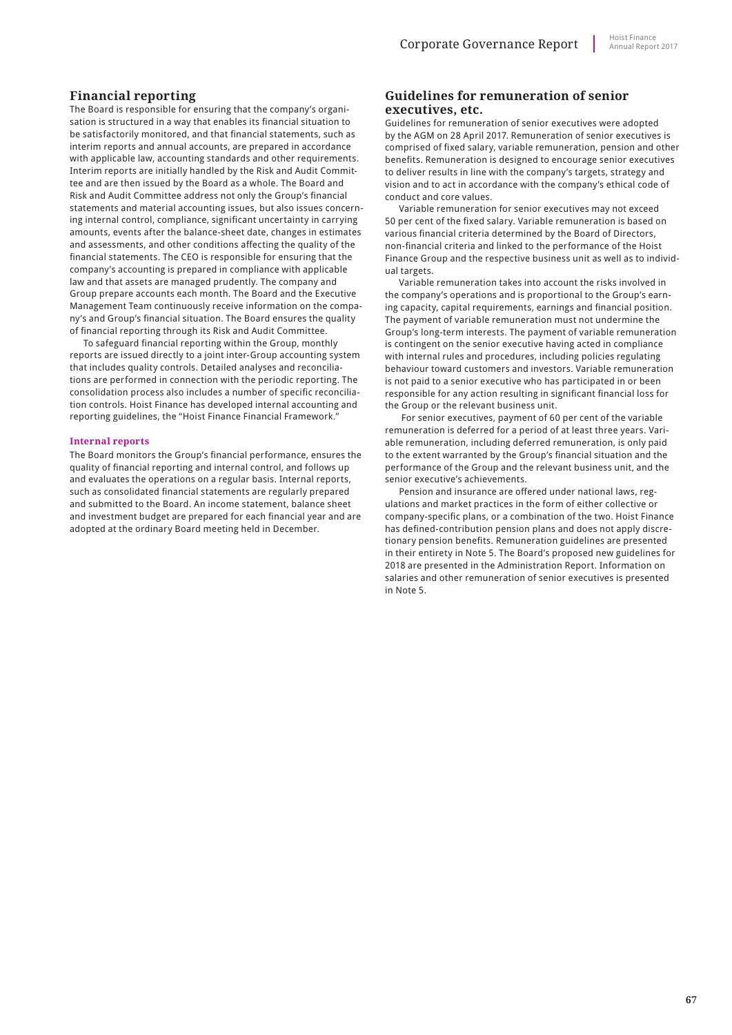#### **Financial reporting**

The Board is responsible for ensuring that the company's organisation is structured in a way that enables its financial situation to be satisfactorily monitored, and that financial statements, such as interim reports and annual accounts, are prepared in accordance with applicable law, accounting standards and other requirements. Interim reports are initially handled by the Risk and Audit Committee and are then issued by the Board as a whole. The Board and Risk and Audit Committee address not only the Group's financial statements and material accounting issues, but also issues concerning internal control, compliance, significant uncertainty in carrying amounts, events after the balance-sheet date, changes in estimates and assessments, and other conditions affecting the quality of the financial statements. The CEO is responsible for ensuring that the company's accounting is prepared in compliance with applicable law and that assets are managed prudently. The company and Group prepare accounts each month. The Board and the Executive Management Team continuously receive information on the company's and Group's financial situation. The Board ensures the quality of financial reporting through its Risk and Audit Committee.

To safeguard financial reporting within the Group, monthly reports are issued directly to a joint inter-Group accounting system that includes quality controls. Detailed analyses and reconciliations are performed in connection with the periodic reporting. The consolidation process also includes a number of specific reconciliation controls. Hoist Finance has developed internal accounting and reporting guidelines, the "Hoist Finance Financial Framework."

#### **Internal reports**

The Board monitors the Group's financial performance, ensures the quality of financial reporting and internal control, and follows up and evaluates the operations on a regular basis. Internal reports, such as consolidated financial statements are regularly prepared and submitted to the Board. An income statement, balance sheet and investment budget are prepared for each financial year and are adopted at the ordinary Board meeting held in December.

#### **Guidelines for remuneration of senior executives, etc.**

Guidelines for remuneration of senior executives were adopted by the AGM on 28 April 2017. Remuneration of senior executives is comprised of fixed salary, variable remuneration, pension and other benefits. Remuneration is designed to encourage senior executives to deliver results in line with the company's targets, strategy and vision and to act in accordance with the company's ethical code of conduct and core values.

Variable remuneration for senior executives may not exceed 50 per cent of the fixed salary. Variable remuneration is based on various financial criteria determined by the Board of Directors, non-financial criteria and linked to the performance of the Hoist Finance Group and the respective business unit as well as to individual targets.

Variable remuneration takes into account the risks involved in the company's operations and is proportional to the Group's earning capacity, capital requirements, earnings and financial position. The payment of variable remuneration must not undermine the Group's long-term interests. The payment of variable remuneration is contingent on the senior executive having acted in compliance with internal rules and procedures, including policies regulating behaviour toward customers and investors. Variable remuneration is not paid to a senior executive who has participated in or been responsible for any action resulting in significant financial loss for the Group or the relevant business unit.

 For senior executives, payment of 60 per cent of the variable remuneration is deferred for a period of at least three years. Variable remuneration, including deferred remuneration, is only paid to the extent warranted by the Group's financial situation and the performance of the Group and the relevant business unit, and the senior executive's achievements.

Pension and insurance are offered under national laws, regulations and market practices in the form of either collective or company-specific plans, or a combination of the two. Hoist Finance has defined-contribution pension plans and does not apply discretionary pension benefits. Remuneration guidelines are presented in their entirety in Note 5. The Board's proposed new guidelines for 2018 are presented in the Administration Report. Information on salaries and other remuneration of senior executives is presented in Note 5.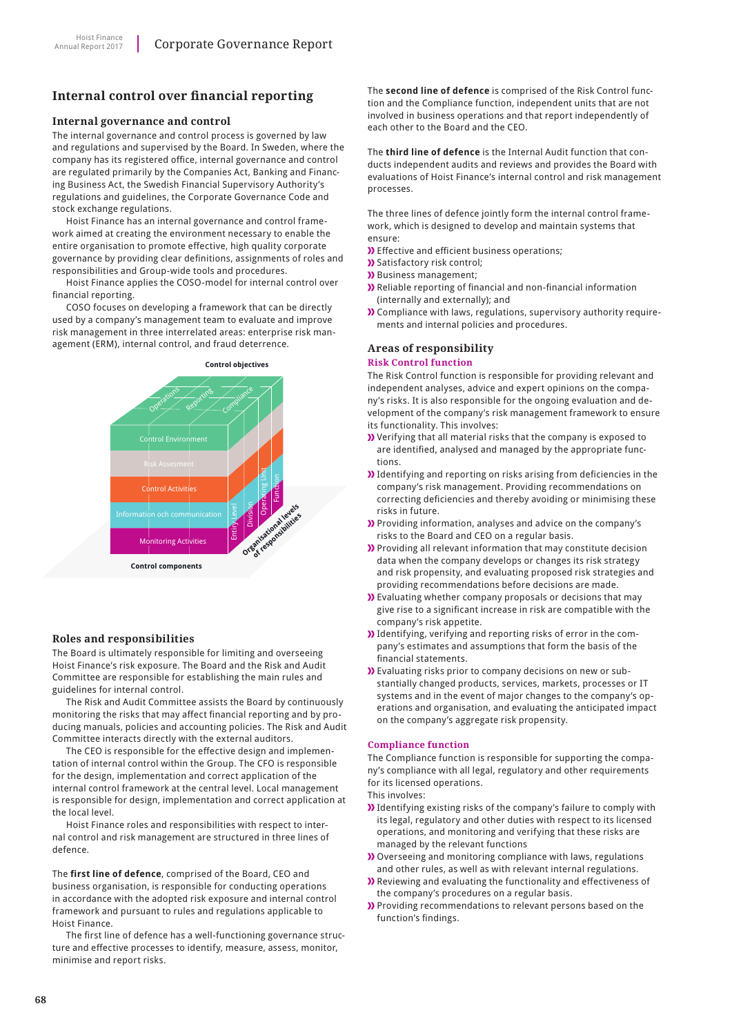# **Internal control over financial reporting**

#### **Internal governance and control**

The internal governance and control process is governed by law and regulations and supervised by the Board. In Sweden, where the company has its registered office, internal governance and control are regulated primarily by the Companies Act, Banking and Financing Business Act, the Swedish Financial Supervisory Authority's regulations and guidelines, the Corporate Governance Code and stock exchange regulations.

Hoist Finance has an internal governance and control framework aimed at creating the environment necessary to enable the entire organisation to promote effective, high quality corporate governance by providing clear definitions, assignments of roles and responsibilities and Group-wide tools and procedures.

Hoist Finance applies the COSO-model for internal control over financial reporting.

COSO focuses on developing a framework that can be directly used by a company's management team to evaluate and improve risk management in three interrelated areas: enterprise risk management (ERM), internal control, and fraud deterrence.



#### **Roles and responsibilities**

The Board is ultimately responsible for limiting and overseeing Hoist Finance's risk exposure. The Board and the Risk and Audit Committee are responsible for establishing the main rules and guidelines for internal control.

The Risk and Audit Committee assists the Board by continuously monitoring the risks that may affect financial reporting and by producing manuals, policies and accounting policies. The Risk and Audit Committee interacts directly with the external auditors.

The CEO is responsible for the effective design and implementation of internal control within the Group. The CFO is responsible for the design, implementation and correct application of the internal control framework at the central level. Local management is responsible for design, implementation and correct application at the local level.

Hoist Finance roles and responsibilities with respect to internal control and risk management are structured in three lines of defence.

The **first line of defence**, comprised of the Board, CEO and business organisation, is responsible for conducting operations in accordance with the adopted risk exposure and internal control framework and pursuant to rules and regulations applicable to Hoist Finance.

The first line of defence has a well-functioning governance structure and effective processes to identify, measure, assess, monitor, minimise and report risks.

The **second line of defence** is comprised of the Risk Control function and the Compliance function, independent units that are not involved in business operations and that report independently of each other to the Board and the CEO.

The **third line of defence** is the Internal Audit function that conducts independent audits and reviews and provides the Board with evaluations of Hoist Finance's internal control and risk management processes.

The three lines of defence jointly form the internal control framework, which is designed to develop and maintain systems that ensure:

- Effective and efficient business operations;
- **>>** Satisfactory risk control;
- **>>** Business management;
- Reliable reporting of financial and non-financial information (internally and externally); and
- Compliance with laws, regulations, supervisory authority requirements and internal policies and procedures.

#### **Areas of responsibility**

#### **Risk Control function**

The Risk Control function is responsible for providing relevant and independent analyses, advice and expert opinions on the company's risks. It is also responsible for the ongoing evaluation and development of the company's risk management framework to ensure its functionality. This involves:

- Verifying that all material risks that the company is exposed to are identified, analysed and managed by the appropriate functions.
- **)** Identifying and reporting on risks arising from deficiencies in the company's risk management. Providing recommendations on correcting deficiencies and thereby avoiding or minimising these risks in future.
- Providing information, analyses and advice on the company's risks to the Board and CEO on a regular basis.
- Providing all relevant information that may constitute decision data when the company develops or changes its risk strategy and risk propensity, and evaluating proposed risk strategies and providing recommendations before decisions are made.
- Evaluating whether company proposals or decisions that may give rise to a significant increase in risk are compatible with the company's risk appetite.
- Identifying, verifying and reporting risks of error in the company's estimates and assumptions that form the basis of the financial statements.
- Evaluating risks prior to company decisions on new or substantially changed products, services, markets, processes or IT systems and in the event of major changes to the company's operations and organisation, and evaluating the anticipated impact on the company's aggregate risk propensity.

#### **Compliance function**

The Compliance function is responsible for supporting the company's compliance with all legal, regulatory and other requirements for its licensed operations.

This involves:

- If Identifying existing risks of the company's failure to comply with its legal, regulatory and other duties with respect to its licensed operations, and monitoring and verifying that these risks are managed by the relevant functions
- Overseeing and monitoring compliance with laws, regulations and other rules, as well as with relevant internal regulations.
- Reviewing and evaluating the functionality and effectiveness of the company's procedures on a regular basis.
- Providing recommendations to relevant persons based on the function's findings.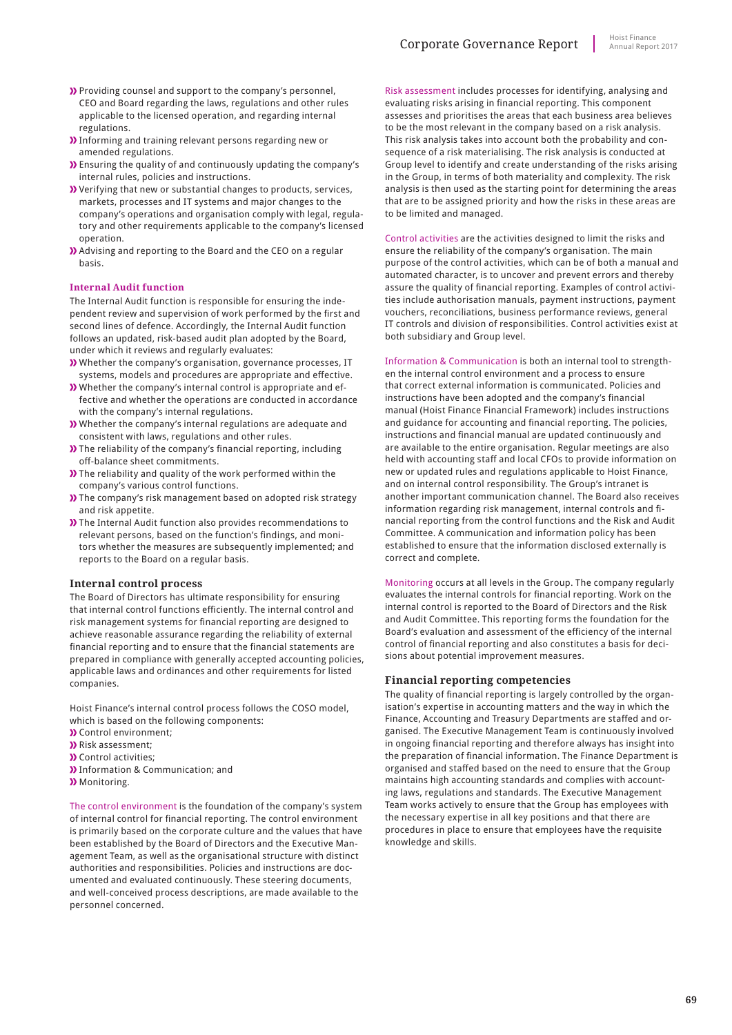- Providing counsel and support to the company's personnel, CEO and Board regarding the laws, regulations and other rules applicable to the licensed operation, and regarding internal regulations.
- Informing and training relevant persons regarding new or amended regulations.
- Ensuring the quality of and continuously updating the company's internal rules, policies and instructions.
- Verifying that new or substantial changes to products, services, markets, processes and IT systems and major changes to the company's operations and organisation comply with legal, regulatory and other requirements applicable to the company's licensed operation.
- Advising and reporting to the Board and the CEO on a regular basis.

#### **Internal Audit function**

The Internal Audit function is responsible for ensuring the independent review and supervision of work performed by the first and second lines of defence. Accordingly, the Internal Audit function follows an updated, risk-based audit plan adopted by the Board, under which it reviews and regularly evaluates:

- Whether the company's organisation, governance processes, IT systems, models and procedures are appropriate and effective.
- Whether the company's internal control is appropriate and effective and whether the operations are conducted in accordance with the company's internal regulations.
- Whether the company's internal regulations are adequate and consistent with laws, regulations and other rules.
- The reliability of the company's financial reporting, including off-balance sheet commitments.
- The reliability and quality of the work performed within the company's various control functions.
- The company's risk management based on adopted risk strategy and risk appetite.
- The Internal Audit function also provides recommendations to relevant persons, based on the function's findings, and monitors whether the measures are subsequently implemented; and reports to the Board on a regular basis.

#### **Internal control process**

The Board of Directors has ultimate responsibility for ensuring that internal control functions efficiently. The internal control and risk management systems for financial reporting are designed to achieve reasonable assurance regarding the reliability of external financial reporting and to ensure that the financial statements are prepared in compliance with generally accepted accounting policies, applicable laws and ordinances and other requirements for listed companies.

Hoist Finance's internal control process follows the COSO model, which is based on the following components:

- Control environment;
- **)** Risk assessment;
- **N** Control activities:
- **)** Information & Communication; and
- **)** Monitoring.

The control environment is the foundation of the company's system of internal control for financial reporting. The control environment is primarily based on the corporate culture and the values that have been established by the Board of Directors and the Executive Management Team, as well as the organisational structure with distinct authorities and responsibilities. Policies and instructions are documented and evaluated continuously. These steering documents, and well-conceived process descriptions, are made available to the personnel concerned.

Risk assessment includes processes for identifying, analysing and evaluating risks arising in financial reporting. This component assesses and prioritises the areas that each business area believes to be the most relevant in the company based on a risk analysis. This risk analysis takes into account both the probability and consequence of a risk materialising. The risk analysis is conducted at Group level to identify and create understanding of the risks arising in the Group, in terms of both materiality and complexity. The risk analysis is then used as the starting point for determining the areas that are to be assigned priority and how the risks in these areas are to be limited and managed.

Control activities are the activities designed to limit the risks and ensure the reliability of the company's organisation. The main purpose of the control activities, which can be of both a manual and automated character, is to uncover and prevent errors and thereby assure the quality of financial reporting. Examples of control activities include authorisation manuals, payment instructions, payment vouchers, reconciliations, business performance reviews, general IT controls and division of responsibilities. Control activities exist at both subsidiary and Group level.

Information & Communication is both an internal tool to strengthen the internal control environment and a process to ensure that correct external information is communicated. Policies and instructions have been adopted and the company's financial manual (Hoist Finance Financial Framework) includes instructions and guidance for accounting and financial reporting. The policies, instructions and financial manual are updated continuously and are available to the entire organisation. Regular meetings are also held with accounting staff and local CFOs to provide information on new or updated rules and regulations applicable to Hoist Finance, and on internal control responsibility. The Group's intranet is another important communication channel. The Board also receives information regarding risk management, internal controls and financial reporting from the control functions and the Risk and Audit Committee. A communication and information policy has been established to ensure that the information disclosed externally is correct and complete.

Monitoring occurs at all levels in the Group. The company regularly evaluates the internal controls for financial reporting. Work on the internal control is reported to the Board of Directors and the Risk and Audit Committee. This reporting forms the foundation for the Board's evaluation and assessment of the efficiency of the internal control of financial reporting and also constitutes a basis for decisions about potential improvement measures.

#### **Financial reporting competencies**

The quality of financial reporting is largely controlled by the organisation's expertise in accounting matters and the way in which the Finance, Accounting and Treasury Departments are staffed and organised. The Executive Management Team is continuously involved in ongoing financial reporting and therefore always has insight into the preparation of financial information. The Finance Department is organised and staffed based on the need to ensure that the Group maintains high accounting standards and complies with accounting laws, regulations and standards. The Executive Management Team works actively to ensure that the Group has employees with the necessary expertise in all key positions and that there are procedures in place to ensure that employees have the requisite knowledge and skills.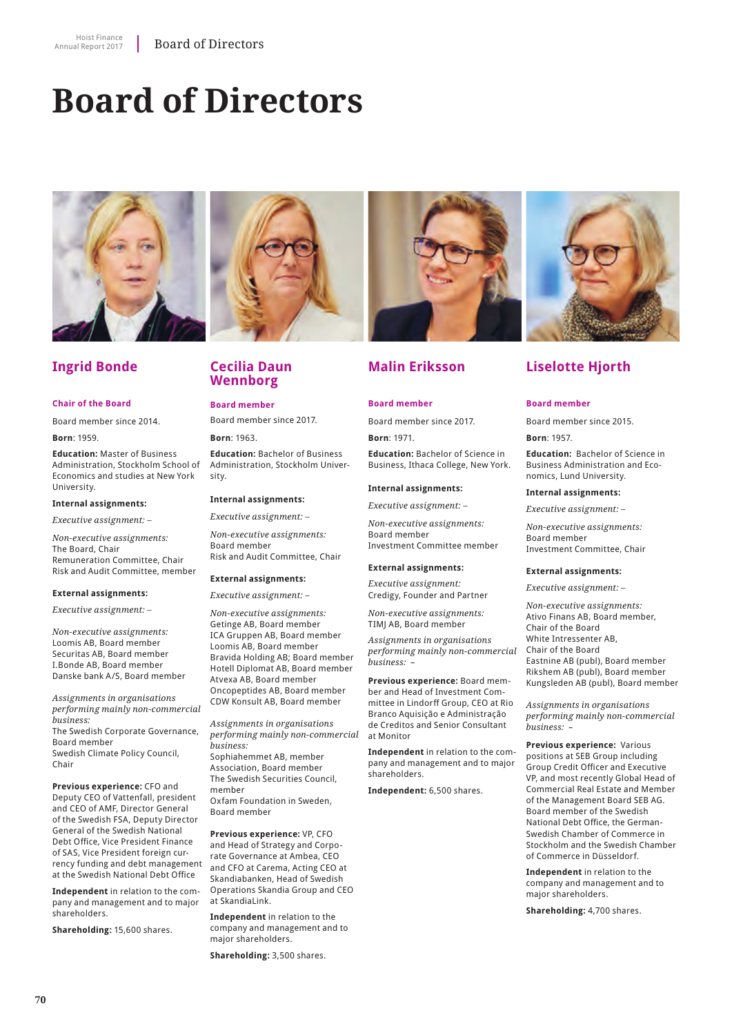# **Board of Directors**



# **Ingrid Bonde**

#### **Chair of the Board**

Board member since 2014.

**Born**: 1959.

**Education:** Master of Business Administration, Stockholm School of Economics and studies at New York University.

#### **Internal assignments:**

*Executive assignment: –*

*Non-executive assignments:* The Board, Chair Remuneration Committee, Chair Risk and Audit Committee, member

#### **External assignments:**

*Executive assignment: –*

*Non-executive assignments:* Loomis AB, Board member Securitas AB, Board member I.Bonde AB, Board member Danske bank A/S, Board member

*Assignments in organisations performing mainly non-commercial business:* The Swedish Corporate Governance, Board member Swedish Climate Policy Council, Chair

**Previous experience:** CFO and Deputy CEO of Vattenfall, president and CEO of AMF, Director General of the Swedish FSA, Deputy Director General of the Swedish National Debt Office, Vice President Finance of SAS, Vice President foreign currency funding and debt management at the Swedish National Debt Office

**Independent** in relation to the company and management and to major shareholders.

**Shareholding:** 15,600 shares.



### **Cecilia Daun Wennborg**

**Board member** Board member since 2017.

**Born**: 1963.

**Education:** Bachelor of Business Administration, Stockholm University.

#### **Internal assignments:**

*Executive assignment: –*

*Non-executive assignments:* Board member Risk and Audit Committee, Chair

#### **External assignments:**

*Executive assignment: –*

*Non-executive assignments:* Getinge AB, Board member ICA Gruppen AB, Board member Loomis AB, Board member Bravida Holding AB; Board member Hotell Diplomat AB, Board member Atvexa AB, Board member Oncopeptides AB, Board member CDW Konsult AB, Board member

*Assignments in organisations performing mainly non-commercial business:* Sophiahemmet AB, member Association, Board member The Swedish Securities Council, member

Oxfam Foundation in Sweden, Board member

**Previous experience:** VP, CFO and Head of Strategy and Corporate Governance at Ambea, CEO and CFO at Carema, Acting CEO at Skandiabanken, Head of Swedish Operations Skandia Group and CEO at SkandiaLink.

**Independent** in relation to the company and management and to major shareholders.

**Shareholding:** 3,500 shares.



# **Malin Eriksson**

#### **Board member**

Board member since 2017.

**Born**: 1971. **Education:** Bachelor of Science in Business, Ithaca College, New York.

#### **Internal assignments:**

*Executive assignment: –*

*Non-executive assignments:* Board member Investment Committee member

#### **External assignments:**

*Executive assignment:*  Credigy, Founder and Partner

*Non-executive assignments:* TIMJ AB, Board member

*Assignments in organisations performing mainly non-commercial business:*–

**Previous experience:** Board member and Head of Investment Committee in Lindorff Group, CEO at Rio Branco Aquisição e Administração de Creditos and Senior Consultant at Monitor

**Independent** in relation to the company and management and to major shareholders.

**Independent:** 6,500 shares.



# **Liselotte Hjorth**

#### **Board member**

Board member since 2015.

**Born**: 1957.

**Education:** Bachelor of Science in Business Administration and Economics, Lund University.

#### **Internal assignments:**

*Executive assignment: –*

*Non-executive assignments:* Board member Investment Committee, Chair

#### **External assignments:**

*Executive assignment: –*

*Non-executive assignments:* Ativo Finans AB, Board member, Chair of the Board White Intressenter AB, Chair of the Board Eastnine AB (publ), Board member Rikshem AB (publ), Board member Kungsleden AB (publ), Board member

*Assignments in organisations performing mainly non-commercial business:*–

**Previous experience:** Various positions at SEB Group including Group Credit Officer and Executive VP, and most recently Global Head of Commercial Real Estate and Member of the Management Board SEB AG. Board member of the Swedish National Debt Office, the German-Swedish Chamber of Commerce in Stockholm and the Swedish Chamber of Commerce in Düsseldorf.

**Independent** in relation to the company and management and to major shareholders.

**Shareholding:** 4,700 shares.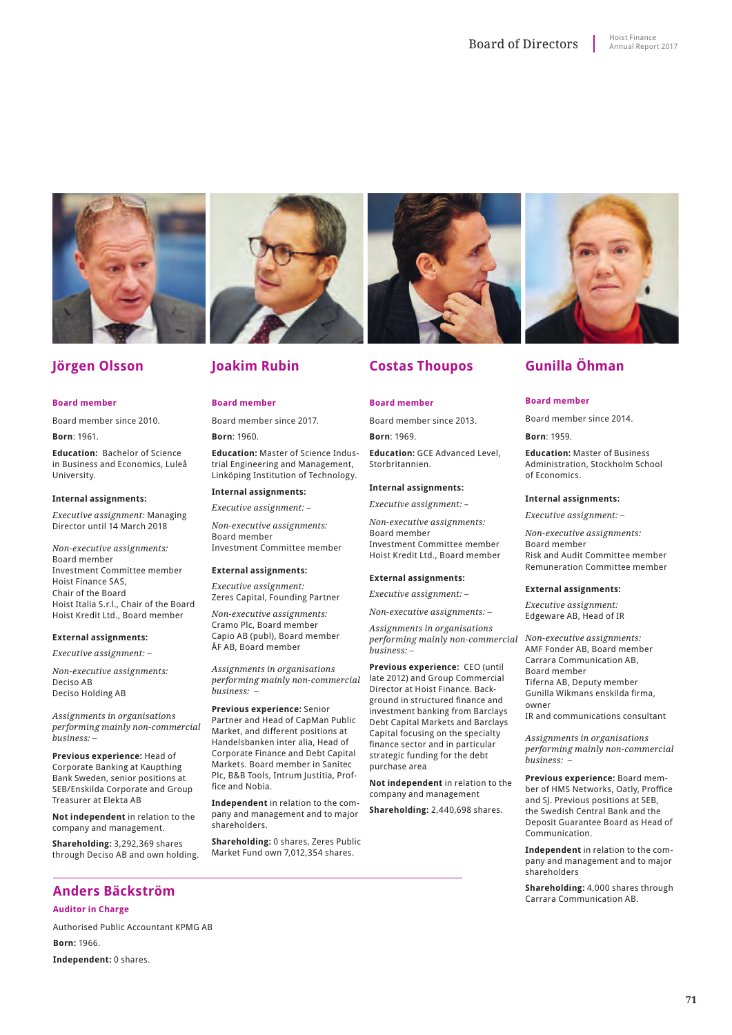

# **Jörgen Olsson**

#### **Board member**

Board member since 2010.

**Born**: 1961.

**Education:** Bachelor of Science in Business and Economics, Luleå University.

#### **Internal assignments:**

*Executive assignment:* Managing Director until 14 March 2018

*Non-executive assignments:* Board member Investment Committee member Hoist Finance SAS, Chair of the Board Hoist Italia S.r.l., Chair of the Board Hoist Kredit Ltd., Board member

#### **External assignments:**

*Executive assignment: –*

*Non-executive assignments:* Deciso AB Deciso Holding AB

*Assignments in organisations performing mainly non-commercial business: –*

**Previous experience:** Head of Corporate Banking at Kaupthing Bank Sweden, senior positions at SEB/Enskilda Corporate and Group Treasurer at Elekta AB

**Not independent** in relation to the company and management.

**Shareholding:** 3,292,369 shares through Deciso AB and own holding.

# **Joakim Rubin**

#### **Board member**

Board member since 2017.

**Born**: 1960.

**Education:** Master of Science Industrial Engineering and Management, Linköping Institution of Technology.

#### **Internal assignments:**

*Executive assignment:* –

*Non-executive assignments:* Board member Investment Committee member

#### **External assignments:**

*Executive assignment:* Zeres Capital, Founding Partner

*Non-executive assignments:* Cramo Plc, Board member Capio AB (publ), Board member ÅF AB, Board member

*Assignments in organisations performing mainly non-commercial business: –*

**Previous experience:** Senior Partner and Head of CapMan Public Market, and different positions at Handelsbanken inter alia, Head of Corporate Finance and Debt Capital Markets. Board member in Sanitec Plc, B&B Tools, Intrum Justitia, Proffice and Nobia.

**Independent** in relation to the company and management and to major shareholders.

**Shareholding:** 0 shares, Zeres Public Market Fund own 7,012,354 shares.

# **Costas Thoupos**

#### **Board member**

Board member since 2013.

**Born**: 1969. **Education:** GCE Advanced Level, Storbritannien.

#### **Internal assignments:**

*Executive assignment:* –

*Non-executive assignments:* Board member Investment Committee member Hoist Kredit Ltd., Board member

#### **External assignments:**

*Executive assignment: –*

*Non-executive assignments: –*

*Non-executive assignments: performing mainly non-commercial Assignments in organisations business: –*

**Previous experience:** CEO (until late 2012) and Group Commercial Director at Hoist Finance. Background in structured finance and investment banking from Barclays Debt Capital Markets and Barclays Capital focusing on the specialty finance sector and in particular strategic funding for the debt purchase area

**Not independent** in relation to the company and management

**Shareholding:** 2,440,698 shares.

# **Gunilla Öhman**

#### **Board member**

Board member since 2014.

**Born**: 1959.

**Education:** Master of Business Administration, Stockholm School of Economics.

#### **Internal assignments:**

*Executive assignment: –*

*Non-executive assignments:*  Board member Risk and Audit Committee member Remuneration Committee member

#### **External assignments:**

*Executive assignment:* Edgeware AB, Head of IR

AMF Fonder AB, Board member Carrara Communication AB, Board member Tiferna AB, Deputy member Gunilla Wikmans enskilda firma, owner

IR and communications consultant

*Assignments in organisations performing mainly non-commercial business: –*

**Previous experience:** Board member of HMS Networks, Oatly, Proffice and SJ. Previous positions at SEB, the Swedish Central Bank and the Deposit Guarantee Board as Head of Communication.

**Independent** in relation to the company and management and to major shareholders

**Shareholding:** 4,000 shares through Carrara Communication AB.

**Anders Bäckström Auditor in Charge**

Authorised Public Accountant KPMG AB **Born:** 1966.

**Independent:** 0 shares.

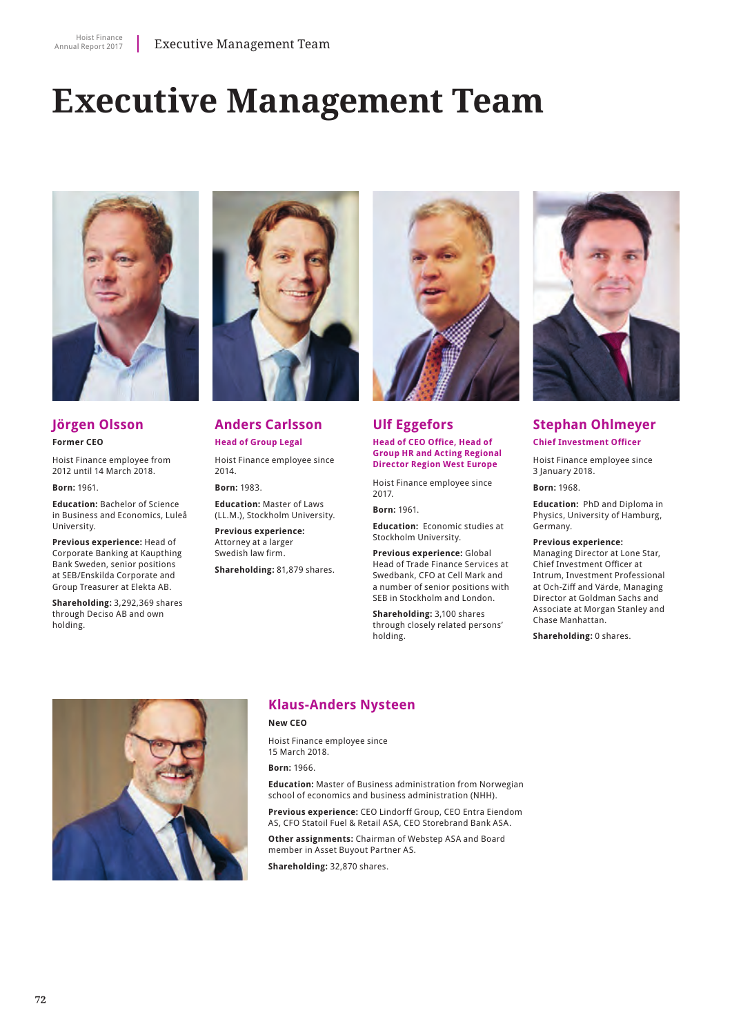# **Executive Management Team**



# **Jörgen Olsson Former CEO**

Hoist Finance employee from 2012 until 14 March 2018.

**Born:** 1961.

**Education:** Bachelor of Science in Business and Economics, Luleå University.

**Previous experience:** Head of Corporate Banking at Kaupthing Bank Sweden, senior positions at SEB/Enskilda Corporate and Group Treasurer at Elekta AB.

**Shareholding:** 3,292,369 shares through Deciso AB and own holding.



**Anders Carlsson Head of Group Legal**

Hoist Finance employee since 2014.

**Born:** 1983.

**Education:** Master of Laws (LL.M.), Stockholm University.

**Previous experience:** Attorney at a larger Swedish law firm.

**Shareholding:** 81,879 shares.



## **Ulf Eggefors Head of CEO Office, Head of**

**Group HR and Acting Regional Director Region West Europe**

Hoist Finance employee since 2017.

**Born:** 1961.

**Education:** Economic studies at Stockholm University.

**Previous experience:** Global Head of Trade Finance Services at Swedbank, CFO at Cell Mark and a number of senior positions with SEB in Stockholm and London.

**Shareholding:** 3,100 shares through closely related persons' holding.



## **Stephan Ohlmeyer Chief Investment Officer**

Hoist Finance employee since 3 January 2018.

**Born:** 1968.

**Education:** PhD and Diploma in Physics, University of Hamburg, Germany.

**Previous experience:**

Managing Director at Lone Star, Chief Investment Officer at Intrum, Investment Professional at Och-Ziff and Värde, Managing Director at Goldman Sachs and Associate at Morgan Stanley and Chase Manhattan.

**Shareholding:** 0 shares.



# **Klaus-Anders Nysteen**

**New CEO**

Hoist Finance employee since 15 March 2018.

**Born:** 1966.

**Education:** Master of Business administration from Norwegian school of economics and business administration (NHH).

**Previous experience:** CEO Lindorff Group, CEO Entra Eiendom AS, CFO Statoil Fuel & Retail ASA, CEO Storebrand Bank ASA.

**Other assignments:** Chairman of Webstep ASA and Board member in Asset Buyout Partner AS.

**Shareholding:** 32,870 shares.